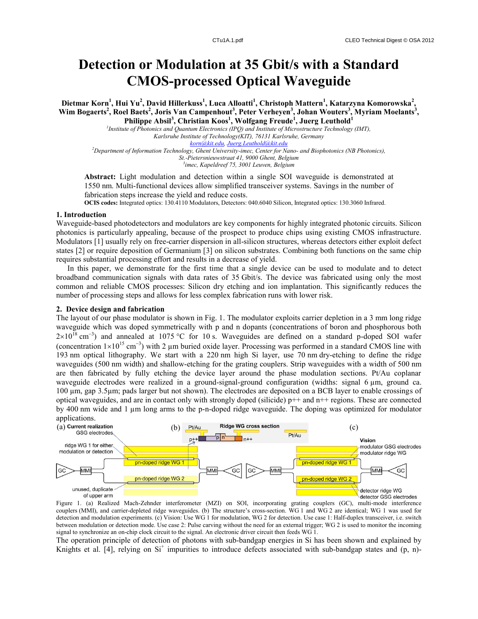# **Detection or Modulation at 35 Gbit/s with a Standard CMOS-processed Optical Waveguide**

**Dietmar Korn<sup>1</sup> , Hui Yu<sup>2</sup> , David Hillerkuss<sup>1</sup> , Luca Alloatti<sup>1</sup> , Christoph Mattern<sup>1</sup> , Katarzyna Komorowska<sup>2</sup> , Wim Bogaerts<sup>2</sup> , Roel Baets<sup>2</sup> , Joris Van Campenhout<sup>3</sup> , Peter Verheyen<sup>3</sup> , Johan Wouters<sup>3</sup> , Myriam Moelants<sup>3</sup> , Philippe Absil<sup>3</sup> , Christian Koos<sup>1</sup> , Wolfgang Freude<sup>1</sup> , Juerg Leuthold<sup>1</sup>**

*1 Institute of Photonics and Quantum Electronics (IPQ) and Institute of Microstructure Technology (IMT), Karlsruhe Institute of Technology(KIT), 76131 Karlsruhe, Germany korn@kit.edu, Juerg.Leuthold@kit.edu <sup>2</sup>Department of Information Technology, Ghent University-imec, Center for Nano- and Biophotonics (NB Photonics), St.-Pietersnieuwstraat 41, 9000 Ghent, Belgium*

*3 imec, Kapeldreef 75, 3001 Leuven, Belgium*

**Abstract:** Light modulation and detection within a single SOI waveguide is demonstrated at 1550 nm. Multi-functional devices allow simplified transceiver systems. Savings in the number of fabrication steps increase the yield and reduce costs.

**OCIS codes:** Integrated optics: 130.4110 Modulators, Detectors: 040.6040 Silicon, Integrated optics: 130.3060 Infrared.

## **1. Introduction**

Waveguide-based photodetectors and modulators are key components for highly integrated photonic circuits. Silicon photonics is particularly appealing, because of the prospect to produce chips using existing CMOS infrastructure. Modulators [1] usually rely on free-carrier dispersion in all-silicon structures, whereas detectors either exploit defect states [2] or require deposition of Germanium [3] on silicon substrates. Combining both functions on the same chip requires substantial processing effort and results in a decrease of yield.

In this paper, we demonstrate for the first time that a single device can be used to modulate and to detect broadband communication signals with data rates of 35 Gbit/s. The device was fabricated using only the most common and reliable CMOS processes: Silicon dry etching and ion implantation. This significantly reduces the number of processing steps and allows for less complex fabrication runs with lower risk.

### **2. Device design and fabrication**

The layout of our phase modulator is shown in Fig. 1. The modulator exploits carrier depletion in a 3 mm long ridge waveguide which was doped symmetrically with p and n dopants (concentrations of boron and phosphorous both  $2\times10^{18}$  cm<sup>-3</sup>) and annealed at 1075 °C for 10 s. Waveguides are defined on a standard p-doped SOI wafer (concentration  $1 \times 10^{15}$  cm<sup>-3</sup>) with 2 µm buried oxide layer. Processing was performed in a standard CMOS line with 193 nm optical lithography. We start with a 220 nm high Si layer, use 70 nm dry-etching to define the ridge waveguides (500 nm width) and shallow-etching for the grating couplers. Strip waveguides with a width of 500 nm are then fabricated by fully etching the device layer around the phase modulation sections. Pt/Au coplanar waveguide electrodes were realized in a ground-signal-ground configuration (widths: signal 6 µm, ground ca. 100 µm, gap 3.5µm; pads larger but not shown). The electrodes are deposited on a BCB layer to enable crossings of optical waveguides, and are in contact only with strongly doped (silicide)  $p++$  and  $n++$  regions. These are connected by 400 nm wide and 1 µm long arms to the p-n-doped ridge waveguide. The doping was optimized for modulator applications.



Figure 1. (a) Realized Mach-Zehnder interferometer (MZI) on SOI, incorporating grating couplers (GC), multi-mode interference couplers (MMI), and carrier-depleted ridge waveguides. (b) The structure's cross-section. WG 1 and WG 2 are identical; WG 1 was used for detection and modulation experiments. (c) Vision: Use WG 1 for modulation, WG 2 for detection. Use case 1: Half-duplex transceiver, i.e. switch between modulation or detection mode. Use case 2: Pulse carving without the need for an external trigger; WG 2 is used to monitor the incoming signal to synchronize an on-chip clock circuit to the signal. An electronic driver circuit then feeds WG 1.

The operation principle of detection of photons with sub-bandgap energies in Si has been shown and explained by Knights et al. [4], relying on Si<sup>+</sup> impurities to introduce defects associated with sub-bandgap states and (p, n)-